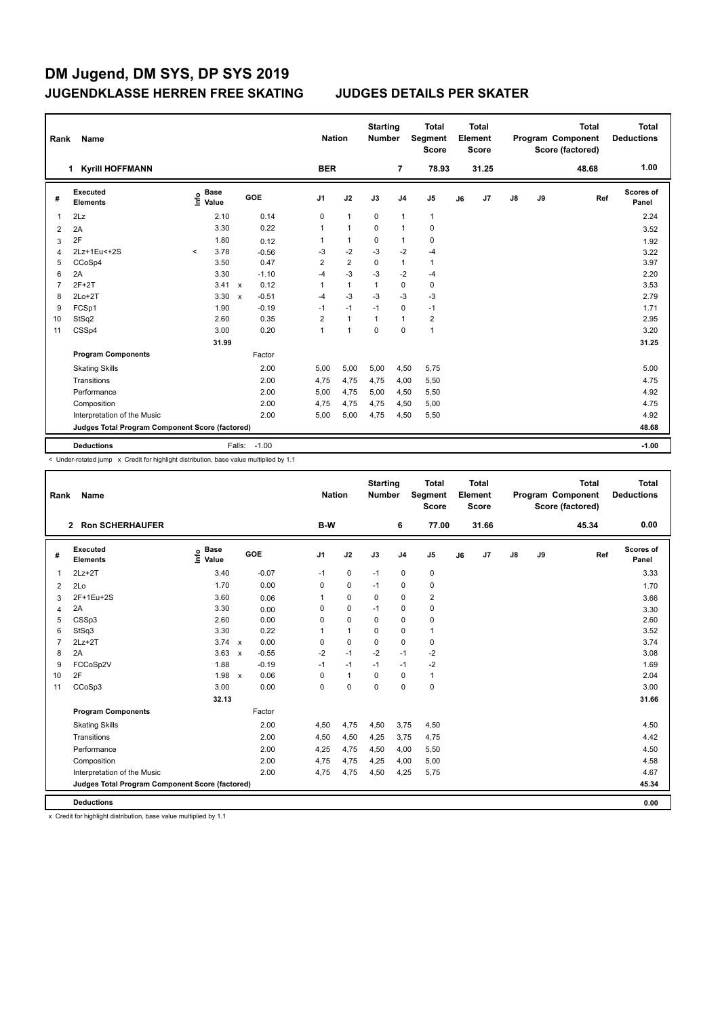| Rank           | Name                                            | <b>Nation</b>                    |                         | <b>Starting</b><br><b>Number</b> |                | <b>Total</b><br>Segment<br><b>Score</b> |                | <b>Total</b><br>Element<br><b>Score</b> |    |       | <b>Total</b><br>Program Component<br>Score (factored) | <b>Total</b><br><b>Deductions</b> |       |                    |
|----------------|-------------------------------------------------|----------------------------------|-------------------------|----------------------------------|----------------|-----------------------------------------|----------------|-----------------------------------------|----|-------|-------------------------------------------------------|-----------------------------------|-------|--------------------|
|                | <b>Kyrill HOFFMANN</b><br>$\mathbf 1$           |                                  |                         | <b>BER</b>                       |                |                                         | $\overline{7}$ | 78.93                                   |    | 31.25 |                                                       |                                   | 48.68 | 1.00               |
| #              | Executed<br><b>Elements</b>                     | <b>Base</b><br>e Base<br>⊆ Value | <b>GOE</b>              | J1                               | J2             | J3                                      | J <sub>4</sub> | J <sub>5</sub>                          | J6 | J7    | $\mathsf{J}8$                                         | J9                                | Ref   | Scores of<br>Panel |
|                | 2Lz                                             | 2.10                             | 0.14                    | 0                                | $\mathbf{1}$   | $\mathbf 0$                             | $\mathbf{1}$   | $\mathbf{1}$                            |    |       |                                                       |                                   |       | 2.24               |
| $\overline{2}$ | 2A                                              | 3.30                             | 0.22                    | 1                                | $\mathbf{1}$   | 0                                       | $\overline{1}$ | $\pmb{0}$                               |    |       |                                                       |                                   |       | 3.52               |
| 3              | 2F                                              | 1.80                             | 0.12                    | 1                                | $\mathbf{1}$   | 0                                       | $\mathbf{1}$   | $\pmb{0}$                               |    |       |                                                       |                                   |       | 1.92               |
| $\overline{4}$ | 2Lz+1Eu<+2S                                     | 3.78<br>$\prec$                  | $-0.56$                 | $-3$                             | $-2$           | $-3$                                    | $-2$           | $-4$                                    |    |       |                                                       |                                   |       | 3.22               |
| 5              | CCoSp4                                          | 3.50                             | 0.47                    | $\overline{2}$                   | $\overline{2}$ | 0                                       | $\overline{1}$ | $\mathbf{1}$                            |    |       |                                                       |                                   |       | 3.97               |
| 6              | 2A                                              | 3.30                             | $-1.10$                 | $-4$                             | $-3$           | $-3$                                    | $-2$           | $-4$                                    |    |       |                                                       |                                   |       | 2.20               |
| 7              | $2F+2T$                                         | 3.41                             | 0.12<br>$\mathsf{x}$    | 1                                | $\mathbf{1}$   | $\mathbf{1}$                            | $\mathbf 0$    | $\pmb{0}$                               |    |       |                                                       |                                   |       | 3.53               |
| 8              | $2Lo+2T$                                        | 3.30                             | $-0.51$<br>$\mathsf{x}$ | $-4$                             | $-3$           | $-3$                                    | $-3$           | $-3$                                    |    |       |                                                       |                                   |       | 2.79               |
| 9              | FCSp1                                           | 1.90                             | $-0.19$                 | $-1$                             | $-1$           | $-1$                                    | $\mathbf 0$    | $-1$                                    |    |       |                                                       |                                   |       | 1.71               |
| 10             | StSq2                                           | 2.60                             | 0.35                    | $\overline{2}$                   | $\mathbf{1}$   | 1                                       | $\overline{1}$ | $\overline{2}$                          |    |       |                                                       |                                   |       | 2.95               |
| 11             | CSSp4                                           | 3.00                             | 0.20                    | 1                                | $\mathbf{1}$   | 0                                       | $\mathbf 0$    | $\mathbf{1}$                            |    |       |                                                       |                                   |       | 3.20               |
|                |                                                 | 31.99                            |                         |                                  |                |                                         |                |                                         |    |       |                                                       |                                   |       | 31.25              |
|                | <b>Program Components</b>                       |                                  | Factor                  |                                  |                |                                         |                |                                         |    |       |                                                       |                                   |       |                    |
|                | <b>Skating Skills</b>                           |                                  | 2.00                    | 5,00                             | 5,00           | 5,00                                    | 4,50           | 5,75                                    |    |       |                                                       |                                   |       | 5.00               |
|                | Transitions                                     |                                  | 2.00                    | 4,75                             | 4,75           | 4,75                                    | 4,00           | 5,50                                    |    |       |                                                       |                                   |       | 4.75               |
|                | Performance                                     |                                  | 2.00                    | 5,00                             | 4,75           | 5,00                                    | 4,50           | 5,50                                    |    |       |                                                       |                                   |       | 4.92               |
|                | Composition                                     |                                  | 2.00                    | 4,75                             | 4,75           | 4,75                                    | 4,50           | 5,00                                    |    |       |                                                       |                                   |       | 4.75               |
|                | Interpretation of the Music                     |                                  | 2.00                    | 5,00                             | 5,00           | 4,75                                    | 4,50           | 5,50                                    |    |       |                                                       |                                   |       | 4.92               |
|                | Judges Total Program Component Score (factored) |                                  |                         |                                  |                |                                         |                |                                         |    |       |                                                       |                                   |       | 48.68              |
|                | <b>Deductions</b>                               |                                  | $-1.00$<br>Falls:       |                                  |                |                                         |                |                                         |    |       |                                                       |                                   |       | $-1.00$            |

< Under-rotated jump x Credit for highlight distribution, base value multiplied by 1.1

| Rank           | Name                                            |                              |              |            | <b>Nation</b>  |              | <b>Starting</b><br><b>Number</b> |                | <b>Total</b><br>Segment<br><b>Score</b> |    | <b>Total</b><br>Element<br><b>Score</b> |               |    | <b>Total</b><br>Program Component<br>Score (factored) | <b>Total</b><br><b>Deductions</b> |
|----------------|-------------------------------------------------|------------------------------|--------------|------------|----------------|--------------|----------------------------------|----------------|-----------------------------------------|----|-----------------------------------------|---------------|----|-------------------------------------------------------|-----------------------------------|
|                | 2 Ron SCHERHAUFER                               |                              |              |            | B-W            |              |                                  | 6              | 77.00                                   |    | 31.66                                   |               |    | 45.34                                                 | 0.00                              |
| #              | Executed<br><b>Elements</b>                     | <b>Base</b><br>lnfo<br>Value |              | <b>GOE</b> | J <sub>1</sub> | J2           | J3                               | J <sub>4</sub> | J <sub>5</sub>                          | J6 | J7                                      | $\mathsf{J}8$ | J9 | Ref                                                   | <b>Scores of</b><br>Panel         |
| $\mathbf 1$    | $2Lz + 2T$                                      | 3.40                         |              | $-0.07$    | $-1$           | 0            | $-1$                             | $\mathbf 0$    | $\pmb{0}$                               |    |                                         |               |    |                                                       | 3.33                              |
| 2              | 2Lo                                             | 1.70                         |              | 0.00       | 0              | $\mathbf 0$  | $-1$                             | 0              | 0                                       |    |                                         |               |    |                                                       | 1.70                              |
| 3              | 2F+1Eu+2S                                       | 3.60                         |              | 0.06       | 1              | $\mathbf 0$  | 0                                | $\mathbf 0$    | $\overline{\mathbf{c}}$                 |    |                                         |               |    |                                                       | 3.66                              |
| 4              | 2A                                              | 3.30                         |              | 0.00       | 0              | $\mathbf 0$  | $-1$                             | $\mathbf 0$    | $\pmb{0}$                               |    |                                         |               |    |                                                       | 3.30                              |
| 5              | CSSp3                                           | 2.60                         |              | 0.00       | 0              | $\mathbf 0$  | $\mathbf 0$                      | $\mathbf 0$    | $\pmb{0}$                               |    |                                         |               |    |                                                       | 2.60                              |
| 6              | StSq3                                           | 3.30                         |              | 0.22       | 1              | $\mathbf{1}$ | 0                                | $\mathbf 0$    | $\mathbf{1}$                            |    |                                         |               |    |                                                       | 3.52                              |
| $\overline{7}$ | $2Lz+2T$                                        | $3.74 \times$                |              | 0.00       | $\mathbf 0$    | $\mathbf 0$  | $\mathbf 0$                      | $\mathbf 0$    | $\pmb{0}$                               |    |                                         |               |    |                                                       | 3.74                              |
| 8              | 2A                                              | 3.63                         | $\mathsf{x}$ | $-0.55$    | $-2$           | $-1$         | $-2$                             | $-1$           | $-2$                                    |    |                                         |               |    |                                                       | 3.08                              |
| 9              | FCCoSp2V                                        | 1.88                         |              | $-0.19$    | $-1$           | $-1$         | $-1$                             | $-1$           | $-2$                                    |    |                                         |               |    |                                                       | 1.69                              |
| 10             | 2F                                              | 1.98                         | $\mathsf{x}$ | 0.06       | $\Omega$       | $\mathbf{1}$ | $\Omega$                         | $\mathbf 0$    | $\mathbf{1}$                            |    |                                         |               |    |                                                       | 2.04                              |
| 11             | CCoSp3                                          | 3.00                         |              | 0.00       | 0              | $\pmb{0}$    | $\mathbf 0$                      | $\mathbf 0$    | $\pmb{0}$                               |    |                                         |               |    |                                                       | 3.00                              |
|                |                                                 | 32.13                        |              |            |                |              |                                  |                |                                         |    |                                         |               |    |                                                       | 31.66                             |
|                | <b>Program Components</b>                       |                              |              | Factor     |                |              |                                  |                |                                         |    |                                         |               |    |                                                       |                                   |
|                | <b>Skating Skills</b>                           |                              |              | 2.00       | 4,50           | 4,75         | 4,50                             | 3,75           | 4,50                                    |    |                                         |               |    |                                                       | 4.50                              |
|                | Transitions                                     |                              |              | 2.00       | 4,50           | 4,50         | 4,25                             | 3,75           | 4,75                                    |    |                                         |               |    |                                                       | 4.42                              |
|                | Performance                                     |                              |              | 2.00       | 4,25           | 4,75         | 4,50                             | 4,00           | 5,50                                    |    |                                         |               |    |                                                       | 4.50                              |
|                | Composition                                     |                              |              | 2.00       | 4,75           | 4,75         | 4,25                             | 4,00           | 5,00                                    |    |                                         |               |    |                                                       | 4.58                              |
|                | Interpretation of the Music                     |                              |              | 2.00       | 4,75           | 4,75         | 4,50                             | 4,25           | 5,75                                    |    |                                         |               |    |                                                       | 4.67                              |
|                | Judges Total Program Component Score (factored) |                              |              |            |                |              |                                  |                |                                         |    |                                         |               |    |                                                       | 45.34                             |
|                | <b>Deductions</b>                               |                              |              |            |                |              |                                  |                |                                         |    |                                         |               |    |                                                       | 0.00                              |

x Credit for highlight distribution, base value multiplied by 1.1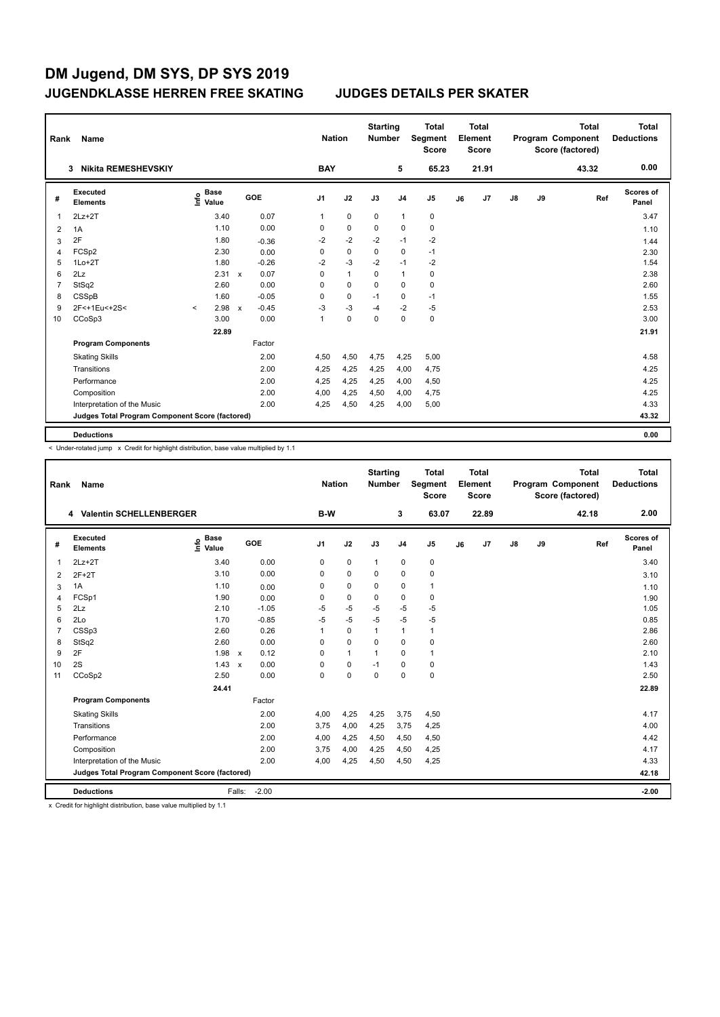| Rank           | Name                                            |                              |              |         |                | <b>Nation</b> | <b>Starting</b><br><b>Number</b> |                | <b>Total</b><br><b>Segment</b><br><b>Score</b> |    | <b>Total</b><br>Element<br><b>Score</b> |               |    | <b>Total</b><br>Program Component<br>Score (factored) | <b>Total</b><br><b>Deductions</b> |
|----------------|-------------------------------------------------|------------------------------|--------------|---------|----------------|---------------|----------------------------------|----------------|------------------------------------------------|----|-----------------------------------------|---------------|----|-------------------------------------------------------|-----------------------------------|
|                | <b>Nikita REMESHEVSKIY</b><br>3                 |                              |              |         | <b>BAY</b>     |               |                                  | 5              | 65.23                                          |    | 21.91                                   |               |    | 43.32                                                 | 0.00                              |
| #              | Executed<br><b>Elements</b>                     | <b>Base</b><br>lnfo<br>Value |              | GOE     | J <sub>1</sub> | J2            | J3                               | J <sub>4</sub> | J <sub>5</sub>                                 | J6 | J7                                      | $\mathsf{J}8$ | J9 | Ref                                                   | Scores of<br>Panel                |
| 1              | $2Lz+2T$                                        | 3.40                         |              | 0.07    | 1              | $\mathbf 0$   | $\Omega$                         | $\mathbf{1}$   | 0                                              |    |                                         |               |    |                                                       | 3.47                              |
| $\overline{2}$ | 1A                                              | 1.10                         |              | 0.00    | 0              | $\mathbf 0$   | $\mathbf 0$                      | $\mathbf 0$    | $\mathbf 0$                                    |    |                                         |               |    |                                                       | 1.10                              |
| 3              | 2F                                              | 1.80                         |              | $-0.36$ | $-2$           | $-2$          | $-2$                             | $-1$           | $-2$                                           |    |                                         |               |    |                                                       | 1.44                              |
| 4              | FCSp2                                           | 2.30                         |              | 0.00    | 0              | $\mathbf 0$   | $\Omega$                         | $\mathbf 0$    | $-1$                                           |    |                                         |               |    |                                                       | 2.30                              |
| 5              | $1Lo+2T$                                        | 1.80                         |              | $-0.26$ | $-2$           | $-3$          | $-2$                             | $-1$           | $-2$                                           |    |                                         |               |    |                                                       | 1.54                              |
| 6              | 2Lz                                             | 2.31                         | $\mathbf{x}$ | 0.07    | 0              | $\mathbf{1}$  | $\Omega$                         | $\mathbf{1}$   | 0                                              |    |                                         |               |    |                                                       | 2.38                              |
| $\overline{7}$ | StSq2                                           | 2.60                         |              | 0.00    | 0              | $\mathbf 0$   | $\mathbf 0$                      | $\mathbf 0$    | 0                                              |    |                                         |               |    |                                                       | 2.60                              |
| 8              | CSSpB                                           | 1.60                         |              | $-0.05$ | 0              | $\mathbf 0$   | $-1$                             | $\mathbf 0$    | $-1$                                           |    |                                         |               |    |                                                       | 1.55                              |
| 9              | 2F<+1Eu<+2S<                                    | 2.98<br>$\prec$              | $\mathsf{x}$ | $-0.45$ | $-3$           | $-3$          | $-4$                             | $-2$           | $-5$                                           |    |                                         |               |    |                                                       | 2.53                              |
| 10             | CCoSp3                                          | 3.00                         |              | 0.00    | 1              | $\mathbf 0$   | $\Omega$                         | $\Omega$       | 0                                              |    |                                         |               |    |                                                       | 3.00                              |
|                |                                                 | 22.89                        |              |         |                |               |                                  |                |                                                |    |                                         |               |    |                                                       | 21.91                             |
|                | <b>Program Components</b>                       |                              |              | Factor  |                |               |                                  |                |                                                |    |                                         |               |    |                                                       |                                   |
|                | <b>Skating Skills</b>                           |                              |              | 2.00    | 4,50           | 4,50          | 4,75                             | 4,25           | 5,00                                           |    |                                         |               |    |                                                       | 4.58                              |
|                | Transitions                                     |                              |              | 2.00    | 4,25           | 4,25          | 4,25                             | 4,00           | 4,75                                           |    |                                         |               |    |                                                       | 4.25                              |
|                | Performance                                     |                              |              | 2.00    | 4.25           | 4,25          | 4,25                             | 4,00           | 4,50                                           |    |                                         |               |    |                                                       | 4.25                              |
|                | Composition                                     |                              |              | 2.00    | 4,00           | 4,25          | 4,50                             | 4,00           | 4,75                                           |    |                                         |               |    |                                                       | 4.25                              |
|                | Interpretation of the Music                     |                              |              | 2.00    | 4,25           | 4,50          | 4,25                             | 4,00           | 5,00                                           |    |                                         |               |    |                                                       | 4.33                              |
|                | Judges Total Program Component Score (factored) |                              |              |         |                |               |                                  |                |                                                |    |                                         |               |    |                                                       | 43.32                             |
|                | <b>Deductions</b>                               |                              |              |         |                |               |                                  |                |                                                |    |                                         |               |    |                                                       | 0.00                              |

< Under-rotated jump x Credit for highlight distribution, base value multiplied by 1.1

| Rank           | <b>Name</b>                                     |                              |                      |                | <b>Nation</b> | <b>Starting</b><br><b>Number</b> |                | <b>Total</b><br>Segment<br><b>Score</b> |    | Total<br>Element<br><b>Score</b> |    |    | <b>Total</b><br>Program Component<br>Score (factored) | Total<br><b>Deductions</b> |
|----------------|-------------------------------------------------|------------------------------|----------------------|----------------|---------------|----------------------------------|----------------|-----------------------------------------|----|----------------------------------|----|----|-------------------------------------------------------|----------------------------|
|                | 4 Valentin SCHELLENBERGER                       |                              |                      | B-W            |               |                                  | 3              | 63.07                                   |    | 22.89                            |    |    | 42.18                                                 | 2.00                       |
| #              | Executed<br><b>Elements</b>                     | <b>Base</b><br>lnfo<br>Value | GOE                  | J <sub>1</sub> | J2            | J3                               | J <sub>4</sub> | J5                                      | J6 | J7                               | J8 | J9 | Ref                                                   | Scores of<br>Panel         |
| $\overline{1}$ | $2Lz+2T$                                        | 3.40                         | 0.00                 | $\mathbf 0$    | $\pmb{0}$     | $\mathbf{1}$                     | $\mathbf 0$    | 0                                       |    |                                  |    |    |                                                       | 3.40                       |
| 2              | $2F+2T$                                         | 3.10                         | 0.00                 | 0              | $\mathbf 0$   | $\Omega$                         | $\mathbf 0$    | $\mathbf 0$                             |    |                                  |    |    |                                                       | 3.10                       |
| 3              | 1A                                              | 1.10                         | 0.00                 | 0              | $\mathbf 0$   | $\mathbf 0$                      | $\mathbf 0$    | 1                                       |    |                                  |    |    |                                                       | 1.10                       |
| 4              | FCSp1                                           | 1.90                         | 0.00                 | 0              | $\pmb{0}$     | 0                                | $\pmb{0}$      | 0                                       |    |                                  |    |    |                                                       | 1.90                       |
| 5              | 2Lz                                             | 2.10                         | $-1.05$              | -5             | $-5$          | -5                               | $-5$           | $-5$                                    |    |                                  |    |    |                                                       | 1.05                       |
| 6              | 2Lo                                             | 1.70                         | $-0.85$              | $-5$           | $-5$          | $-5$                             | $-5$           | $-5$                                    |    |                                  |    |    |                                                       | 0.85                       |
| $\overline{7}$ | CSSp3                                           | 2.60                         | 0.26                 | 1              | $\pmb{0}$     | 1                                | $\mathbf{1}$   | 1                                       |    |                                  |    |    |                                                       | 2.86                       |
| 8              | StSq2                                           | 2.60                         | 0.00                 | $\Omega$       | $\Omega$      | $\Omega$                         | $\Omega$       | 0                                       |    |                                  |    |    |                                                       | 2.60                       |
| 9              | 2F                                              | 1.98                         | 0.12<br>$\mathsf{x}$ | $\Omega$       | $\mathbf{1}$  | $\mathbf{1}$                     | $\mathbf 0$    | 1                                       |    |                                  |    |    |                                                       | 2.10                       |
| 10             | 2S                                              | 1.43                         | 0.00<br>$\mathsf{x}$ | $\Omega$       | $\mathbf 0$   | $-1$                             | $\mathbf 0$    | 0                                       |    |                                  |    |    |                                                       | 1.43                       |
| 11             | CCoSp2                                          | 2.50                         | 0.00                 | 0              | $\mathbf 0$   | $\mathbf 0$                      | $\mathbf 0$    | 0                                       |    |                                  |    |    |                                                       | 2.50                       |
|                |                                                 | 24.41                        |                      |                |               |                                  |                |                                         |    |                                  |    |    |                                                       | 22.89                      |
|                | <b>Program Components</b>                       |                              | Factor               |                |               |                                  |                |                                         |    |                                  |    |    |                                                       |                            |
|                | <b>Skating Skills</b>                           |                              | 2.00                 | 4,00           | 4,25          | 4,25                             | 3,75           | 4,50                                    |    |                                  |    |    |                                                       | 4.17                       |
|                | Transitions                                     |                              | 2.00                 | 3,75           | 4,00          | 4,25                             | 3,75           | 4,25                                    |    |                                  |    |    |                                                       | 4.00                       |
|                | Performance                                     |                              | 2.00                 | 4.00           | 4,25          | 4,50                             | 4,50           | 4,50                                    |    |                                  |    |    |                                                       | 4.42                       |
|                | Composition                                     |                              | 2.00                 | 3,75           | 4,00          | 4,25                             | 4,50           | 4,25                                    |    |                                  |    |    |                                                       | 4.17                       |
|                | Interpretation of the Music                     |                              | 2.00                 | 4,00           | 4,25          | 4,50                             | 4,50           | 4,25                                    |    |                                  |    |    |                                                       | 4.33                       |
|                | Judges Total Program Component Score (factored) |                              |                      |                |               |                                  |                |                                         |    |                                  |    |    |                                                       | 42.18                      |
|                | <b>Deductions</b>                               | Falls:                       | $-2.00$              |                |               |                                  |                |                                         |    |                                  |    |    |                                                       | $-2.00$                    |

x Credit for highlight distribution, base value multiplied by 1.1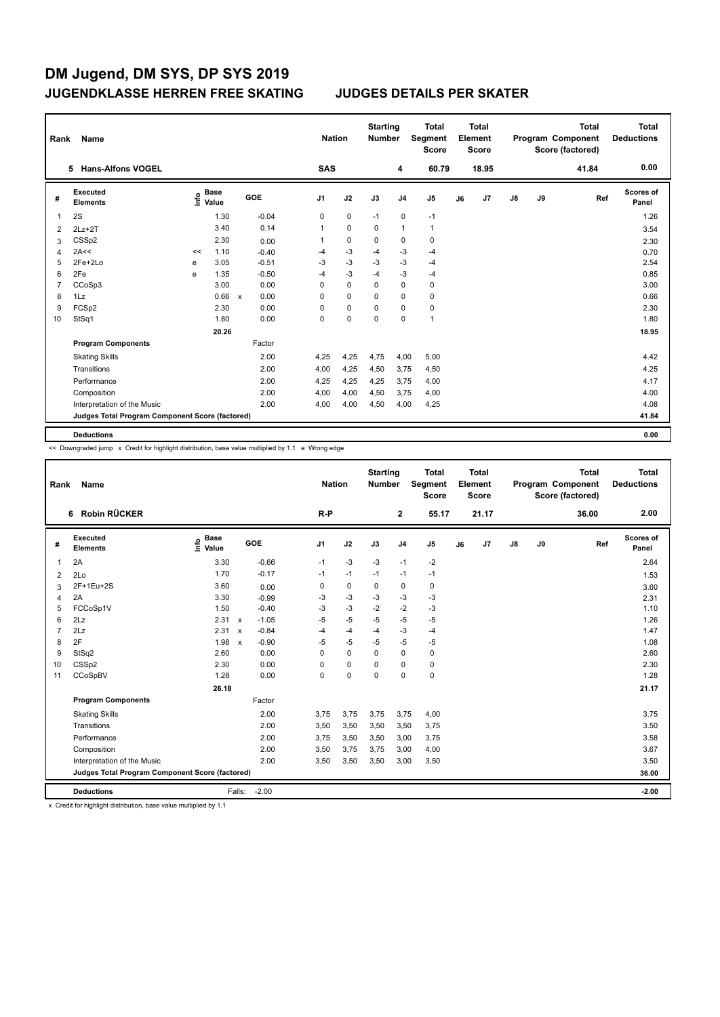|                | Rank<br>Name                                    |      |                      |              |            |                | <b>Starting</b><br><b>Nation</b><br><b>Number</b> |             | <b>Total</b><br>Segment<br><b>Score</b> |              | <b>Total</b><br>Element<br><b>Score</b> |       |               | <b>Total</b><br>Program Component<br>Score (factored) | <b>Total</b><br><b>Deductions</b> |                    |
|----------------|-------------------------------------------------|------|----------------------|--------------|------------|----------------|---------------------------------------------------|-------------|-----------------------------------------|--------------|-----------------------------------------|-------|---------------|-------------------------------------------------------|-----------------------------------|--------------------|
|                | <b>Hans-Alfons VOGEL</b><br>5.                  |      |                      |              |            | <b>SAS</b>     |                                                   |             | 4                                       | 60.79        |                                         | 18.95 |               |                                                       | 41.84                             | 0.00               |
| #              | <b>Executed</b><br><b>Elements</b>              | ١nf٥ | <b>Base</b><br>Value |              | <b>GOE</b> | J <sub>1</sub> | J2                                                | J3          | J <sub>4</sub>                          | J5           | J6                                      | J7    | $\mathsf{J}8$ | J9                                                    | Ref                               | Scores of<br>Panel |
| 1              | 2S                                              |      | 1.30                 |              | $-0.04$    | 0              | $\mathbf 0$                                       | $-1$        | $\mathbf 0$                             | $-1$         |                                         |       |               |                                                       |                                   | 1.26               |
| 2              | $2Lz+2T$                                        |      | 3.40                 |              | 0.14       | 1              | $\mathbf 0$                                       | $\mathbf 0$ | $\mathbf{1}$                            | $\mathbf{1}$ |                                         |       |               |                                                       |                                   | 3.54               |
| 3              | CSSp2                                           |      | 2.30                 |              | 0.00       | 1              | $\mathbf 0$                                       | $\mathbf 0$ | $\mathbf 0$                             | $\pmb{0}$    |                                         |       |               |                                                       |                                   | 2.30               |
| $\overline{4}$ | 2A<<                                            | <<   | 1.10                 |              | $-0.40$    | $-4$           | $-3$                                              | $-4$        | -3                                      | $-4$         |                                         |       |               |                                                       |                                   | 0.70               |
| 5              | 2Fe+2Lo                                         | e    | 3.05                 |              | $-0.51$    | $-3$           | $-3$                                              | $-3$        | $-3$                                    | -4           |                                         |       |               |                                                       |                                   | 2.54               |
| 6              | 2Fe                                             | e    | 1.35                 |              | $-0.50$    | $-4$           | $-3$                                              | $-4$        | $-3$                                    | -4           |                                         |       |               |                                                       |                                   | 0.85               |
| 7              | CCoSp3                                          |      | 3.00                 |              | 0.00       | 0              | $\mathbf 0$                                       | $\Omega$    | $\Omega$                                | $\mathbf 0$  |                                         |       |               |                                                       |                                   | 3.00               |
| 8              | 1Lz                                             |      | 0.66                 | $\mathsf{x}$ | 0.00       | 0              | $\Omega$                                          | 0           | 0                                       | 0            |                                         |       |               |                                                       |                                   | 0.66               |
| 9              | FCSp2                                           |      | 2.30                 |              | 0.00       | 0              | $\mathbf 0$                                       | 0           | $\mathbf 0$                             | $\pmb{0}$    |                                         |       |               |                                                       |                                   | 2.30               |
| 10             | StSq1                                           |      | 1.80                 |              | 0.00       | 0              | $\mathbf 0$                                       | 0           | $\mathbf 0$                             | $\mathbf{1}$ |                                         |       |               |                                                       |                                   | 1.80               |
|                |                                                 |      | 20.26                |              |            |                |                                                   |             |                                         |              |                                         |       |               |                                                       |                                   | 18.95              |
|                | <b>Program Components</b>                       |      |                      |              | Factor     |                |                                                   |             |                                         |              |                                         |       |               |                                                       |                                   |                    |
|                | <b>Skating Skills</b>                           |      |                      |              | 2.00       | 4,25           | 4,25                                              | 4,75        | 4,00                                    | 5,00         |                                         |       |               |                                                       |                                   | 4.42               |
|                | Transitions                                     |      |                      |              | 2.00       | 4,00           | 4,25                                              | 4,50        | 3.75                                    | 4,50         |                                         |       |               |                                                       |                                   | 4.25               |
|                | Performance                                     |      |                      |              | 2.00       | 4,25           | 4,25                                              | 4,25        | 3,75                                    | 4,00         |                                         |       |               |                                                       |                                   | 4.17               |
|                | Composition                                     |      |                      |              | 2.00       | 4,00           | 4,00                                              | 4,50        | 3,75                                    | 4,00         |                                         |       |               |                                                       |                                   | 4.00               |
|                | Interpretation of the Music                     |      |                      |              | 2.00       | 4.00           | 4,00                                              | 4,50        | 4,00                                    | 4,25         |                                         |       |               |                                                       |                                   | 4.08               |
|                | Judges Total Program Component Score (factored) |      |                      |              |            |                |                                                   |             |                                         |              |                                         |       |               |                                                       |                                   | 41.84              |
|                | <b>Deductions</b>                               |      |                      |              |            |                |                                                   |             |                                         |              |                                         |       |               |                                                       |                                   | 0.00               |

<< Downgraded jump x Credit for highlight distribution, base value multiplied by 1.1 e Wrong edge

| Rank           | Name                                            |                                      |                                      |                | <b>Nation</b> | <b>Starting</b><br><b>Number</b> |                | <b>Total</b><br>Segment<br><b>Score</b> |    | <b>Total</b><br>Element<br><b>Score</b> |    |    | <b>Total</b><br>Program Component<br>Score (factored) | Total<br><b>Deductions</b> |
|----------------|-------------------------------------------------|--------------------------------------|--------------------------------------|----------------|---------------|----------------------------------|----------------|-----------------------------------------|----|-----------------------------------------|----|----|-------------------------------------------------------|----------------------------|
|                | Robin RÜCKER<br>6                               |                                      |                                      | $R-P$          |               |                                  | $\overline{2}$ | 55.17                                   |    | 21.17                                   |    |    | 36.00                                                 | 2.00                       |
| #              | Executed<br><b>Elements</b>                     | $\sum_{k=1}^{\infty}$ Value<br>Value | <b>GOE</b>                           | J <sub>1</sub> | J2            | J3                               | J <sub>4</sub> | J <sub>5</sub>                          | J6 | J7                                      | J8 | J9 | Ref                                                   | Scores of<br>Panel         |
| $\mathbf{1}$   | 2A                                              | 3.30                                 | $-0.66$                              | $-1$           | $-3$          | $-3$                             | $-1$           | $-2$                                    |    |                                         |    |    |                                                       | 2.64                       |
| 2              | 2Lo                                             | 1.70                                 | $-0.17$                              | $-1$           | $-1$          | $-1$                             | $-1$           | $-1$                                    |    |                                         |    |    |                                                       | 1.53                       |
| 3              | 2F+1Eu+2S                                       | 3.60                                 | 0.00                                 | 0              | $\mathbf 0$   | 0                                | $\mathbf 0$    | 0                                       |    |                                         |    |    |                                                       | 3.60                       |
| 4              | 2A                                              | 3.30                                 | $-0.99$                              | -3             | $-3$          | -3                               | -3             | -3                                      |    |                                         |    |    |                                                       | 2.31                       |
| 5              | FCCoSp1V                                        | 1.50                                 | $-0.40$                              | $-3$           | $-3$          | $-2$                             | $-2$           | $-3$                                    |    |                                         |    |    |                                                       | 1.10                       |
| 6              | 2Lz                                             | 2.31                                 | $-1.05$<br>$\mathsf{x}$              | $-5$           | -5            | $-5$                             | $-5$           | $-5$                                    |    |                                         |    |    |                                                       | 1.26                       |
| $\overline{7}$ | 2Lz                                             | 2.31                                 | $-0.84$<br>$\boldsymbol{\mathsf{x}}$ | $-4$           | $-4$          | $-4$                             | $-3$           | $-4$                                    |    |                                         |    |    |                                                       | 1.47                       |
| 8              | 2F                                              | 1.98                                 | $-0.90$<br>$\boldsymbol{\mathsf{x}}$ | $-5$           | -5            | $-5$                             | $-5$           | $-5$                                    |    |                                         |    |    |                                                       | 1.08                       |
| 9              | StSq2                                           | 2.60                                 | 0.00                                 | $\Omega$       | $\mathbf 0$   | 0                                | $\Omega$       | 0                                       |    |                                         |    |    |                                                       | 2.60                       |
| 10             | CSSp2                                           | 2.30                                 | 0.00                                 | $\Omega$       | $\Omega$      | 0                                | $\Omega$       | 0                                       |    |                                         |    |    |                                                       | 2.30                       |
| 11             | CCoSpBV                                         | 1.28                                 | 0.00                                 | 0              | $\mathbf 0$   | $\Omega$                         | $\mathbf 0$    | 0                                       |    |                                         |    |    |                                                       | 1.28                       |
|                |                                                 | 26.18                                |                                      |                |               |                                  |                |                                         |    |                                         |    |    |                                                       | 21.17                      |
|                | <b>Program Components</b>                       |                                      | Factor                               |                |               |                                  |                |                                         |    |                                         |    |    |                                                       |                            |
|                | <b>Skating Skills</b>                           |                                      | 2.00                                 | 3,75           | 3,75          | 3,75                             | 3,75           | 4,00                                    |    |                                         |    |    |                                                       | 3.75                       |
|                | Transitions                                     |                                      | 2.00                                 | 3,50           | 3,50          | 3,50                             | 3,50           | 3,75                                    |    |                                         |    |    |                                                       | 3.50                       |
|                | Performance                                     |                                      | 2.00                                 | 3,75           | 3,50          | 3,50                             | 3,00           | 3,75                                    |    |                                         |    |    |                                                       | 3.58                       |
|                | Composition                                     |                                      | 2.00                                 | 3,50           | 3,75          | 3,75                             | 3,00           | 4,00                                    |    |                                         |    |    |                                                       | 3.67                       |
|                | Interpretation of the Music                     |                                      | 2.00                                 | 3,50           | 3,50          | 3,50                             | 3,00           | 3,50                                    |    |                                         |    |    |                                                       | 3.50                       |
|                | Judges Total Program Component Score (factored) |                                      |                                      |                |               |                                  |                |                                         |    |                                         |    |    |                                                       | 36.00                      |
|                | <b>Deductions</b>                               |                                      | $-2.00$<br>Falls:                    |                |               |                                  |                |                                         |    |                                         |    |    |                                                       | $-2.00$                    |

x Credit for highlight distribution, base value multiplied by 1.1